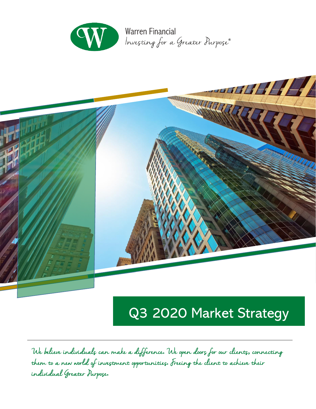

**Warren Financial** Investing for a Greater Purpose®



# Q3 2020 Market Strategy

We believe individuals can make a difference**.** We open doors for our clients**,** connecting them to a new world of investment opportunities**.** Freeing the client to achieve their individual Greater Purpose**.**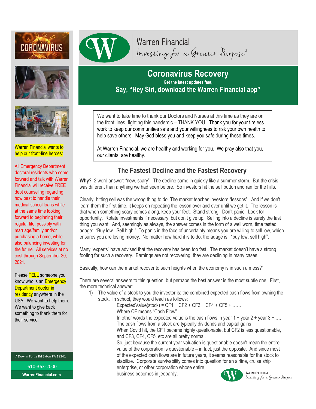





Warren Financial wants to help our front-line heroes:

All Emergency Department doctoral residents who come forward and talk with Warren Financial will receive FREE debt counseling regarding how best to handle their medical school loans while at the same time looking forward to beginning their regular life, possibly with marriage/family and/or purchasing a home, while also balancing investing for the future. All services at no cost through September 30, 2021.

Please TELL someone you know who is an **Emergency** Department doctor in residency anywhere in the USA. We want to help them. We want to give back something to thank them for their service.

7 Dowlin Forge Rd Exton PA 19341

610-363-2000 **WarrenFinancial.com**



## **Coronavirus Recovery Get the latest updates fast, Say, "Hey Siri, download the Warren Financial app"**

We want to take time to thank our Doctors and Nurses at this time as they are on the front lines, fighting this pandemic – THANK YOU. Thank you for your tireless work to keep our communities safe and your willingness to risk your own health to help save others. May God bless you and keep you safe during these times.

At Warren Financial, we are healthy and working for you. We pray also that you, our clients, are healthy.

### **The Fastest Decline and the Fastest Recovery**

**Why**? 2 word answer: "new, scary". The decline came in quickly like a summer storm. But the crisis was different than anything we had seen before. So investors hit the sell button and ran for the hills.

Clearly, hitting sell was the wrong thing to do. The market teaches investors "lessons". And if we don't learn them the first time, it keeps on repeating the lesson over and over until we get it. The lesson is that when something scary comes along, keep your feet. Stand strong. Don't panic. Look for opportunity. Rotate investments if necessary, but don't give up. Selling into a decline is surely the last thing you want. And, seemingly as always, the answer comes in the form of a well worn, time tested, adage: "Buy low. Sell high." To panic in the face of uncertainty means you are willing to sell low, which ensures you are losing money. No matter how hard it is to do, the adage is: "buy low, sell high".

Many "experts" have advised that the recovery has been too fast. The market doesn't have a strong footing for such a recovery. Earnings are not recovering, they are declining in many cases.

Basically, how can the market recover to such heights when the economy is in such a mess?"

There are several answers to this question, but perhaps the best answer is the most subtle one. First, the more technical answer:

1) The value of a stock to you the investor is: the combined expected cash flows from owning the stock. In school, they would teach as follows:

 $ExpectedValue(stock) = CF1 + CF2 + CF3 + CF4 + CF5 + ...$ Where CF means "Cash Flow" In other words the expected value is the cash flows in year  $1 +$  year  $2 +$  year  $3 + ...$ The cash flows from a stock are typically dividends and capital gains When Covid hit, the CF1 became highly questionable, but CF2 is less questionable, and CF3, CF4, CF5, etc are all pretty normal. So, just because the current year valuation is questionable doesn't mean the entire value of the corporation is questionable – in fact, just the opposite. And since most of the expected cash flows are in future years, it seems reasonable for the stock to

stabilize. Corporate survivability comes into question for an airline, cruise ship enterprise, or other corporation whose entire

business becomes in jeopardy.



Warren Financial Investing for a Greater Purpose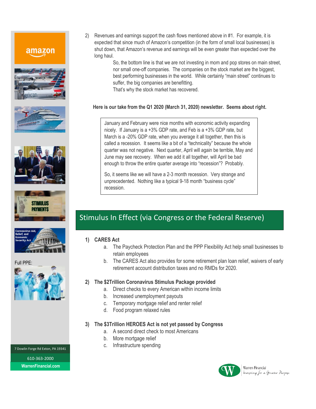## amazon











#### Full PPE:



7 Dowlin Forge Rd Exton, PA 19341 610-363-2000 **WarrenFinancial.com**

2) Revenues and earnings support the cash flows mentioned above in #1. For example, it is expected that since much of Amazon's competition (in the form of small local businesses) is shut down, that Amazon's revenue and earnings will be even greater than expected over the long haul.

> So, the bottom line is that we are not investing in mom and pop stores on main street, nor small one-off companies. The companies on the stock market are the biggest, best performing businesses in the world. While certainly "main street" continues to suffer, the big companies are benefitting.

That's why the stock market has recovered.

#### **Here is our take from the Q1 2020 (March 31, 2020) newsletter. Seems about right.**

January and February were nice months with economic activity expanding nicely. If January is a +3% GDP rate, and Feb is a +3% GDP rate, but March is a -20% GDP rate, when you average it all together, then this is called a recession. It seems like a bit of a "technicality" because the whole quarter was not negative. Next quarter, April will again be terrible, May and June may see recovery. When we add it all together, will April be bad enough to throw the entire quarter average into "recession"? Probably.

So, it seems like we will have a 2-3 month recession. Very strange and unprecedented. Nothing like a typical 9-18 month "business cycle" recession.

## Stimulus In Effect (via Congress or the Federal Reserve)

#### **1) CARES Act**

- a. The Paycheck Protection Plan and the PPP Flexibility Act help small businesses to retain employees
- b. The CARES Act also provides for some retirement plan loan relief, waivers of early retirement account distribution taxes and no RMDs for 2020.

#### **2) The \$2Trillion Coronavirus Stimulus Package provided**

- a. Direct checks to every American within income limits
- b. Increased unemployment payouts
- c. Temporary mortgage relief and renter relief
- d. Food program relaxed rules

#### **3) The \$3Trillion HEROES Act is not yet passed by Congress**

- a. A second direct check to most Americans
- b. More mortgage relief
- c. Infrastructure spending



Warren Financial Investing for a Greater Purpose